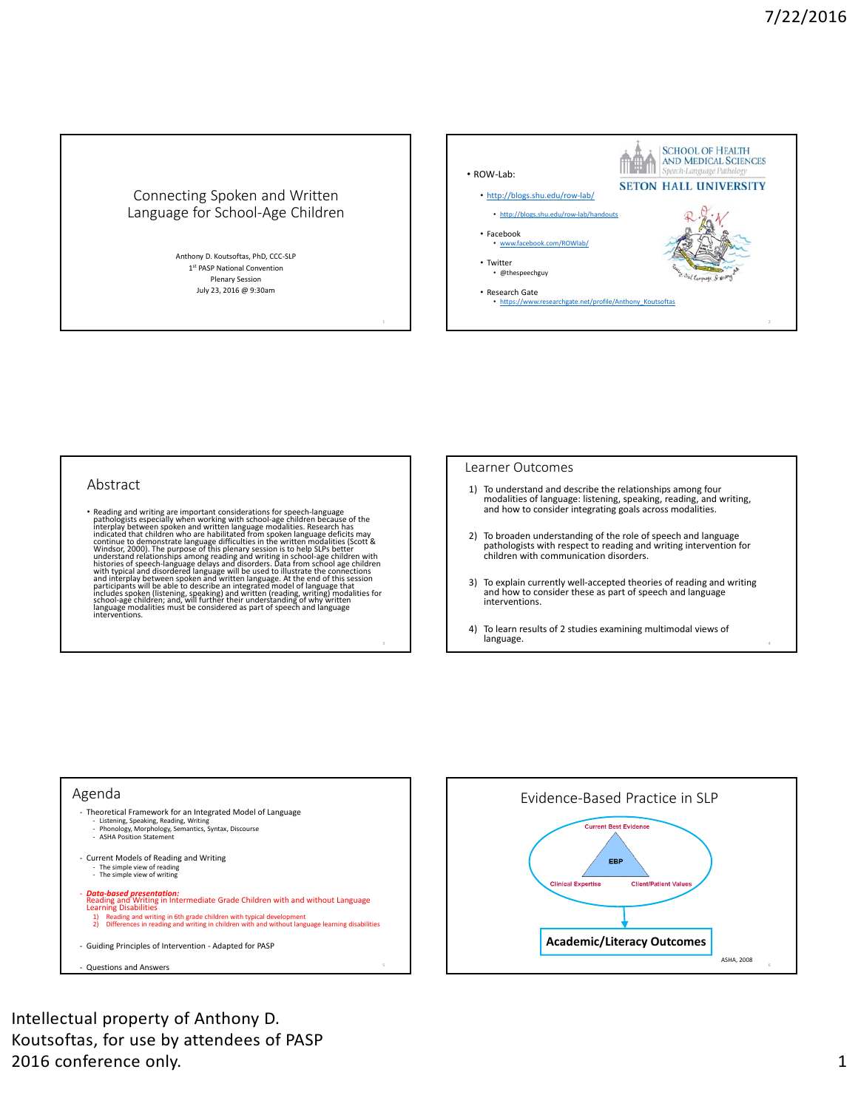# Connecting Spoken and Written Language for School‐Age Children

Anthony D. Koutsoftas, PhD, CCC‐SLP 1st PASP National Convention Plenary Session July 23, 2016 @ 9:30am



#### Abstract

• Reading and writing are important considerations for speech-language<br>pathologists especially when working with school-age children because of the<br>interplay between spoken and written language modalities. Reearch has<br>ind

#### Learner Outcomes

- 1) To understand and describe the relationships among four modalities of language: listening, speaking, reading, and writing, and how to consider integrating goals across modalities.
- 2) To broaden understanding of the role of speech and language pathologists with respect to reading and writing intervention for children with communication disorders.
- 3) To explain currently well‐accepted theories of reading and writing and how to consider these as part of speech and language interventions.
- 4) To learn results of 2 studies examining multimodal views of language.





Intellectual property of Anthony D. Koutsoftas, for use by attendees of PASP 2016 conference only. 2016 and the state of the state of the state of the state of the state of the state of the state of the state of the state of the state of the state of the state of the state of the state of the state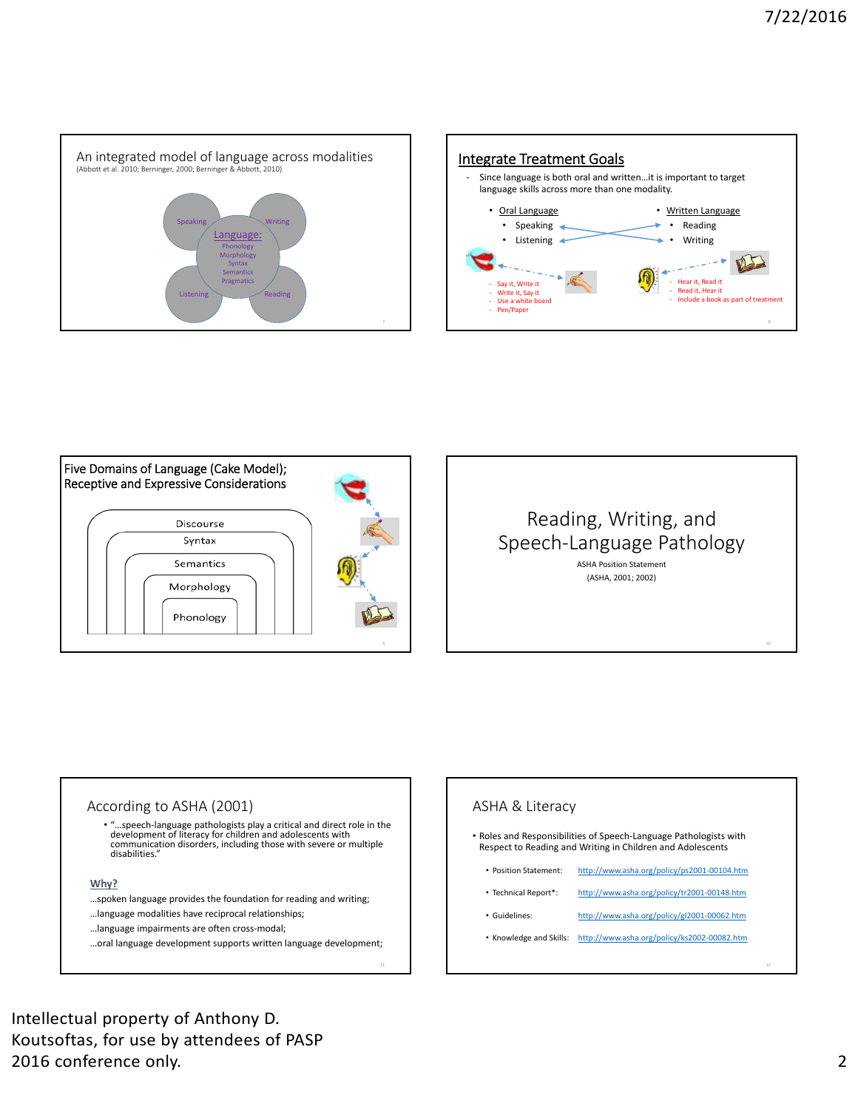





# Reading, Writing, and Speech‐Language Pathology

ASHA Position Statement (ASHA, 2001; 2002)

## According to ASHA (2001)

• "…speech‐language pathologists play a critical and direct role in the development of literacy for children and adolescents with communication disorders, including those with severe or multiple disabilities."

#### **Why?**

…spoken language provides the foundation for reading and writing;

…language modalities have reciprocal relationships;

…language impairments are often cross‐modal;

…oral language development supports written language development;

# ASHA & Literacy

- Roles and Responsibilities of Speech‐Language Pathologists with Respect to Reading and Writing in Children and Adolescents
	- Position Statement: http://www.asha.org/policy/ps2001-00104.htm
	- Technical Report\*: http://www.asha.org/policy/tr2001-00148.htm
	- Guidelines: http://www.asha.org/policy/gl2001-00062.htm
	- Knowledge and Skills: http://www.asha.org/policy/ks2002-00082.htm

Intellectual property of Anthony D. Koutsoftas, for use by attendees of PASP 2016 conference only. 2

12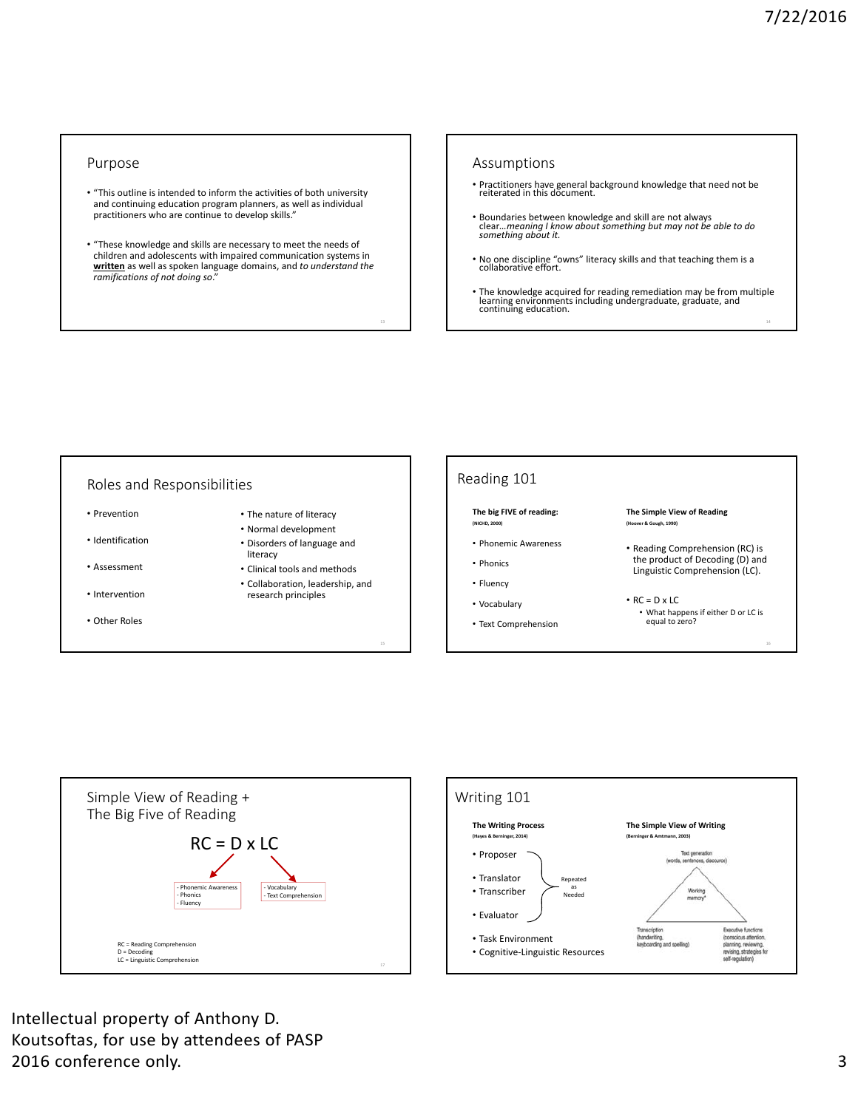#### Purpose

- "This outline is intended to inform the activities of both university and continuing education program planners, as well as individual practitioners who are continue to develop skills."
- "These knowledge and skills are necessary to meet the needs of children and adolescents with impaired communication systems in **written** as well as spoken language domains, and *to understand the ramifications of not doing so*."

#### Assumptions

- Practitioners have general background knowledge that need not be reiterated in this document.
- Boundaries between knowledge and skill are not always clear*…meaning I know about something but may not be able to do something about it.*
- No one discipline "owns" literacy skills and that teaching them is a collaborative effort.
- The knowledge acquired for reading remediation may be from multiple learning environments including undergraduate, graduate, and<br> continuing education.





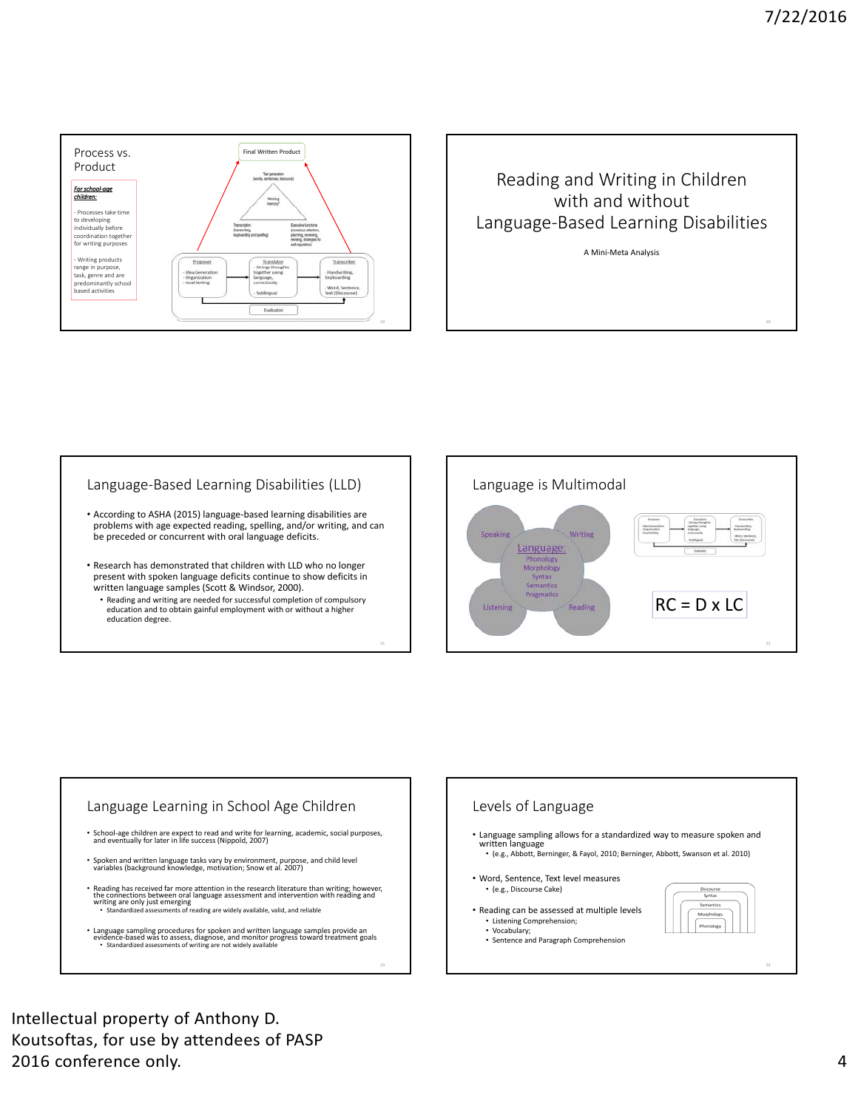



A Mini‐Meta Analysis

# Language‐Based Learning Disabilities (LLD)

- According to ASHA (2015) language‐based learning disabilities are problems with age expected reading, spelling, and/or writing, and can be preceded or concurrent with oral language deficits.
- Research has demonstrated that children with LLD who no longer present with spoken language deficits continue to show deficits in written language samples (Scott & Windsor, 2000).
	- Reading and writing are needed for successful completion of compulsory education and to obtain gainful employment with or without a higher education degree.





23

Levels of Language • Language sampling allows for a standardized way to measure spoken and written language • (e.g., Abbott, Berninger, & Fayol, 2010; Berninger, Abbott, Swanson et al. 2010) • Word, Sentence, Text level measures • Reading can be assessed at multiple levels • Sentence and Paragraph Comprehension

Intellectual property of Anthony D. Koutsoftas, for use by attendees of PASP 2016 conference only. 4

24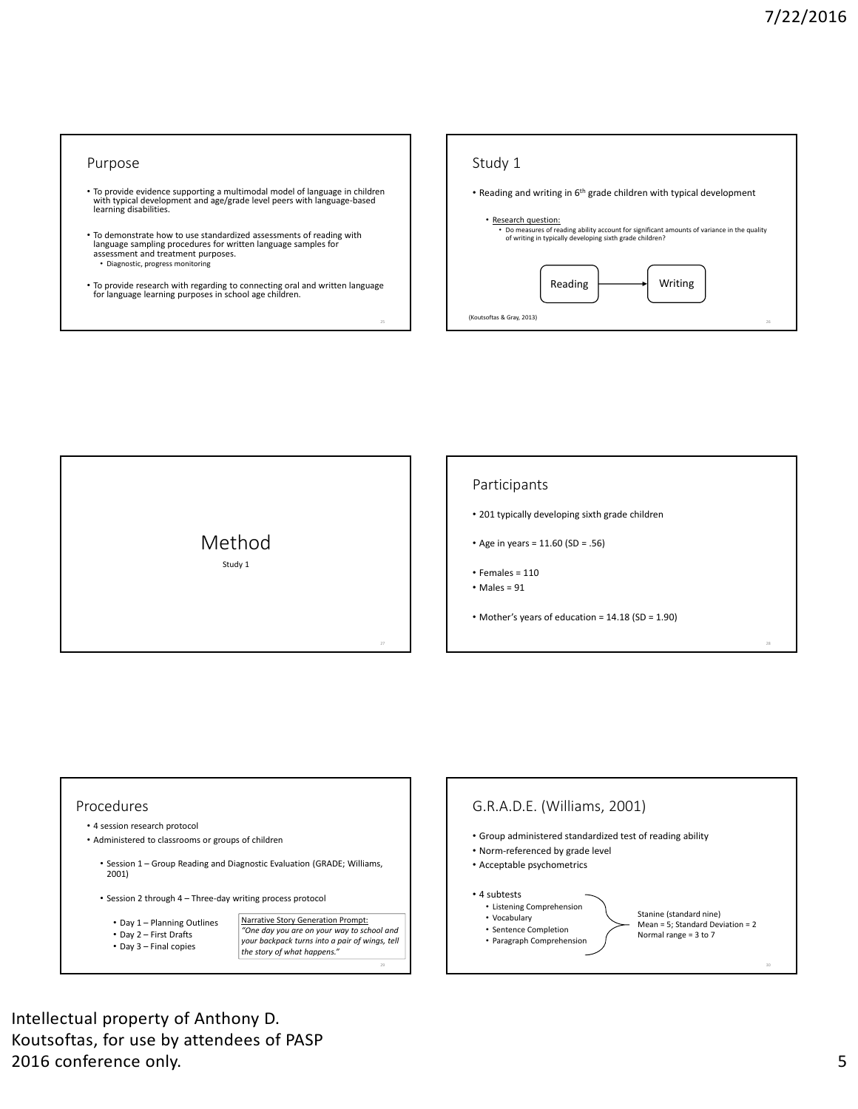#### Purpose

- To provide evidence supporting a multimodal model of language in children with typical development and age/grade level peers with language‐based learning disabilities.
- To demonstrate how to use standardized assessments of reading with language sampling procedures for written language samples for assessment and treatment purposes. • Diagnostic, progress monitoring
- To provide research with regarding to connecting oral and written language for language learning purposes in school age children.





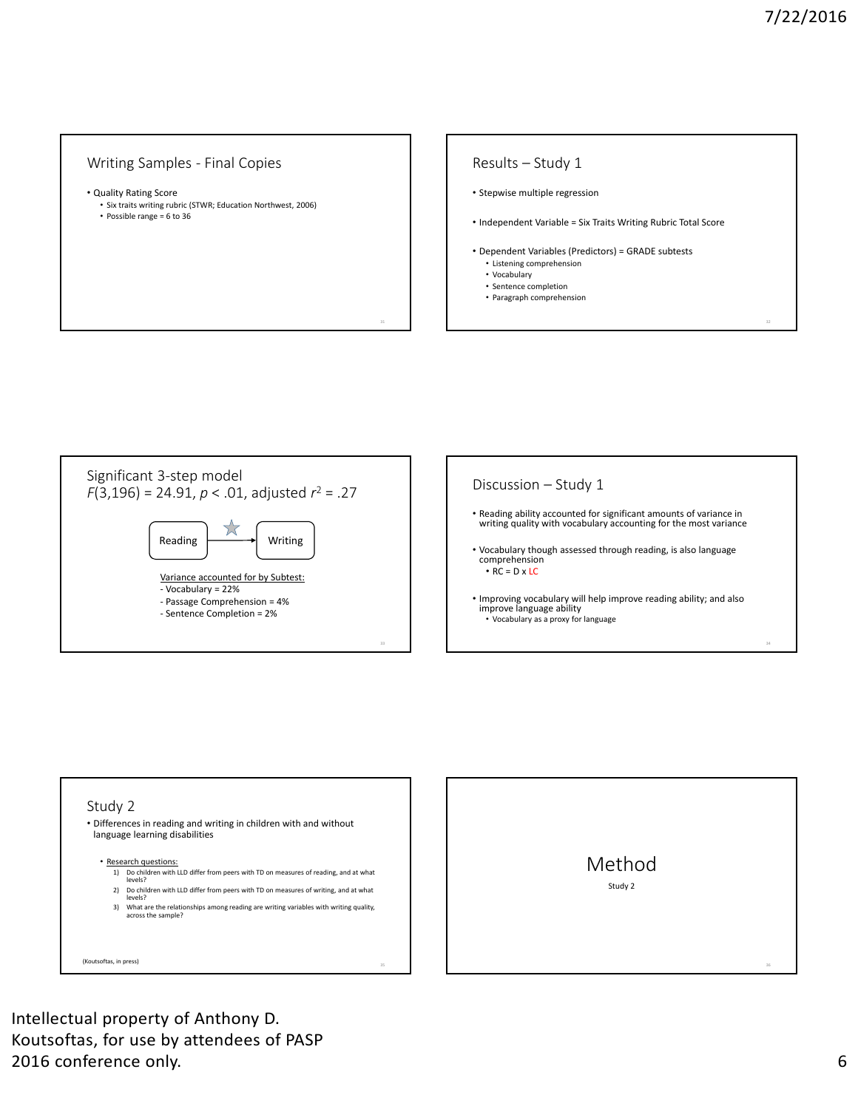## Writing Samples ‐ Final Copies

- Quality Rating Score
	- Six traits writing rubric (STWR; Education Northwest, 2006)
	- Possible range = 6 to 36

### Results – Study 1

- Stepwise multiple regression
- Independent Variable = Six Traits Writing Rubric Total Score
- Dependent Variables (Predictors) = GRADE subtests • Listening comprehension
	- Vocabulary
	- Sentence completion
- Paragraph comprehension





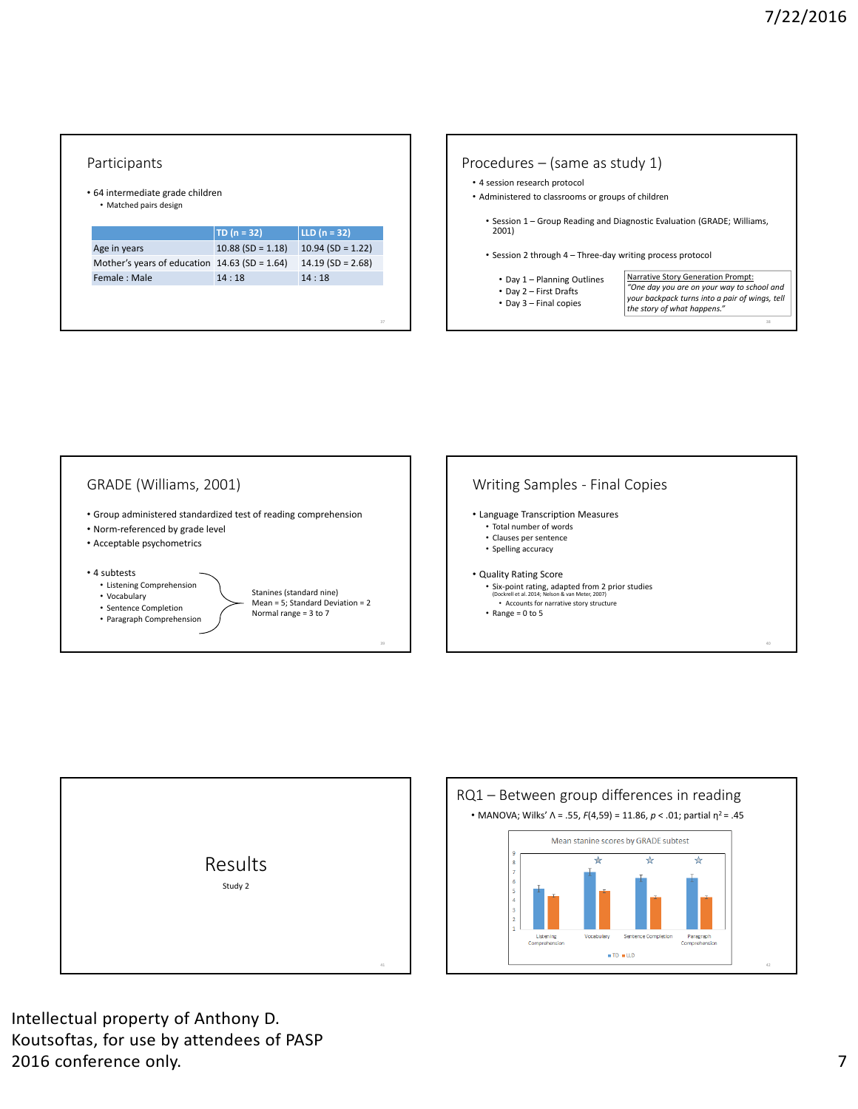# Participants • 64 intermediate grade children • Matched pairs design **TD (n = 32) LLD (n = 32)** Age in years 10.88 (SD = 1.18) 10.94 (SD = 1.22) Mother's years of education 14.63 (SD = 1.64) 14.19 (SD = 2.68) Female : Male 14 : 18 14 : 18









Intellectual property of Anthony D. Koutsoftas, for use by attendees of PASP 2016 conference only. 2016 **2016 2016 2016 2016 2016 2016 2018**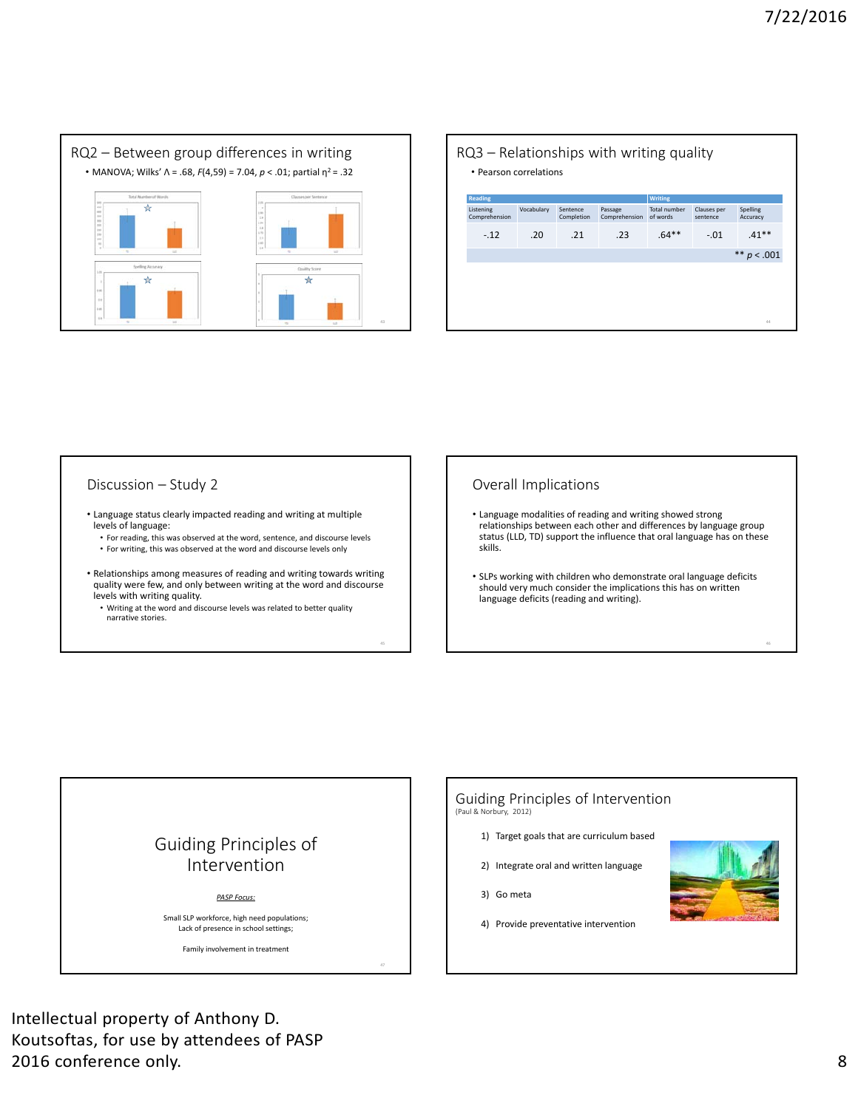

| <b>Reading</b>             |            |                        |                          | <b>Writing</b>           |                         |                      |
|----------------------------|------------|------------------------|--------------------------|--------------------------|-------------------------|----------------------|
| Listening<br>Comprehension | Vocabulary | Sentence<br>Completion | Passage<br>Comprehension | Total number<br>of words | Clauses per<br>sentence | Spelling<br>Accuracy |
| $-.12$                     | .20        | .21                    | .23                      | $.64**$                  | $-.01$                  | $.41**$              |
|                            |            |                        |                          |                          |                         | ** $p < .001$        |
|                            |            |                        |                          |                          |                         |                      |

# Discussion – Study 2

- Language status clearly impacted reading and writing at multiple levels of language:
	- For reading, this was observed at the word, sentence, and discourse levels
	- For writing, this was observed at the word and discourse levels only
- Relationships among measures of reading and writing towards writing quality were few, and only between writing at the word and discourse levels with writing quality.
	- Writing at the word and discourse levels was related to better quality narrative stories.

# Overall Implications

- Language modalities of reading and writing showed strong relationships between each other and differences by language group status (LLD, TD) support the influence that oral language has on these skills.
- SLPs working with children who demonstrate oral language deficits should very much consider the implications this has on written language deficits (reading and writing).



Intellectual property of Anthony D. Koutsoftas, for use by attendees of PASP 2016 conference only. 8

#### Guiding Principles of Intervention (Paul & Norbury, 2012)

- - 1) Target goals that are curriculum based
	- 2) Integrate oral and written language
	- 3) Go meta
	- 4) Provide preventative intervention